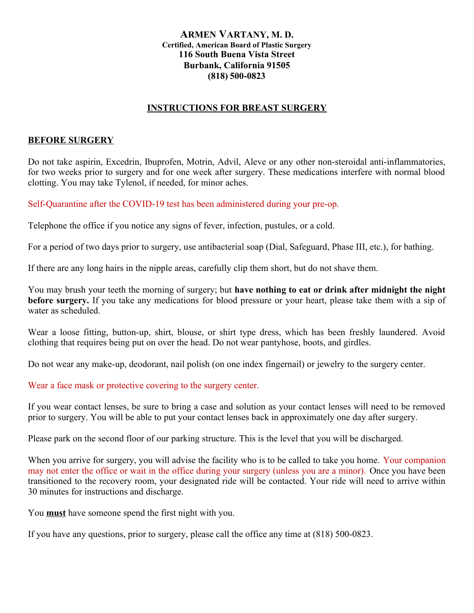## **ARMEN VARTANY, M. D. Certified, American Board of Plastic Surgery 116 South Buena Vista Street Burbank, California 91505 (818) 500-0823**

## **INSTRUCTIONS FOR BREAST SURGERY**

## **BEFORE SURGERY**

Do not take aspirin, Excedrin, Ibuprofen, Motrin, Advil, Aleve or any other non-steroidal anti-inflammatories, for two weeks prior to surgery and for one week after surgery. These medications interfere with normal blood clotting. You may take Tylenol, if needed, for minor aches.

Self-Quarantine after the COVID-19 test has been administered during your pre-op.

Telephone the office if you notice any signs of fever, infection, pustules, or a cold.

For a period of two days prior to surgery, use antibacterial soap (Dial, Safeguard, Phase III, etc.), for bathing.

If there are any long hairs in the nipple areas, carefully clip them short, but do not shave them.

You may brush your teeth the morning of surgery; but **have nothing to eat or drink after midnight the night before surgery.** If you take any medications for blood pressure or your heart, please take them with a sip of water as scheduled.

Wear a loose fitting, button-up, shirt, blouse, or shirt type dress, which has been freshly laundered. Avoid clothing that requires being put on over the head. Do not wear pantyhose, boots, and girdles.

Do not wear any make-up, deodorant, nail polish (on one index fingernail) or jewelry to the surgery center.

Wear a face mask or protective covering to the surgery center.

If you wear contact lenses, be sure to bring a case and solution as your contact lenses will need to be removed prior to surgery. You will be able to put your contact lenses back in approximately one day after surgery.

Please park on the second floor of our parking structure. This is the level that you will be discharged.

When you arrive for surgery, you will advise the facility who is to be called to take you home. Your companion may not enter the office or wait in the office during your surgery (unless you are a minor). Once you have been transitioned to the recovery room, your designated ride will be contacted. Your ride will need to arrive within 30 minutes for instructions and discharge.

You **must** have someone spend the first night with you.

If you have any questions, prior to surgery, please call the office any time at (818) 500-0823.